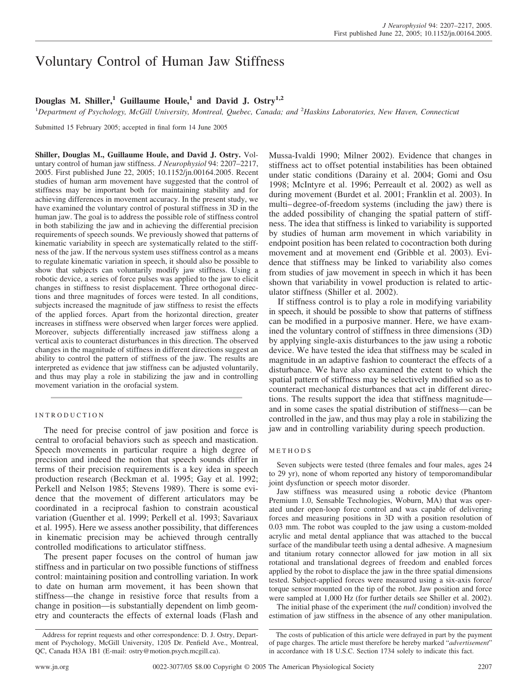# Voluntary Control of Human Jaw Stiffness

# Douglas M. Shiller,<sup>1</sup> Guillaume Houle,<sup>1</sup> and David J. Ostry<sup>1,2</sup>

<sup>1</sup>Department of Psychology, McGill University, Montreal, Quebec, Canada; and <sup>2</sup>Haskins Laboratories, New Haven, Connecticut

Submitted 15 February 2005; accepted in final form 14 June 2005

**Shiller, Douglas M., Guillaume Houle, and David J. Ostry.** Voluntary control of human jaw stiffness. *J Neurophysiol* 94: 2207–2217, 2005. First published June 22, 2005; 10.1152/jn.00164.2005. Recent studies of human arm movement have suggested that the control of stiffness may be important both for maintaining stability and for achieving differences in movement accuracy. In the present study, we have examined the voluntary control of postural stiffness in 3D in the human jaw. The goal is to address the possible role of stiffness control in both stabilizing the jaw and in achieving the differential precision requirements of speech sounds. We previously showed that patterns of kinematic variability in speech are systematically related to the stiffness of the jaw. If the nervous system uses stiffness control as a means to regulate kinematic variation in speech, it should also be possible to show that subjects can voluntarily modify jaw stiffness. Using a robotic device, a series of force pulses was applied to the jaw to elicit changes in stiffness to resist displacement. Three orthogonal directions and three magnitudes of forces were tested. In all conditions, subjects increased the magnitude of jaw stiffness to resist the effects of the applied forces. Apart from the horizontal direction, greater increases in stiffness were observed when larger forces were applied. Moreover, subjects differentially increased jaw stiffness along a vertical axis to counteract disturbances in this direction. The observed changes in the magnitude of stiffness in different directions suggest an ability to control the pattern of stiffness of the jaw. The results are interpreted as evidence that jaw stiffness can be adjusted voluntarily, and thus may play a role in stabilizing the jaw and in controlling movement variation in the orofacial system.

## INTRODUCTION

The need for precise control of jaw position and force is central to orofacial behaviors such as speech and mastication. Speech movements in particular require a high degree of precision and indeed the notion that speech sounds differ in terms of their precision requirements is a key idea in speech production research (Beckman et al. 1995; Gay et al. 1992; Perkell and Nelson 1985; Stevens 1989). There is some evidence that the movement of different articulators may be coordinated in a reciprocal fashion to constrain acoustical variation (Guenther et al. 1999; Perkell et al. 1993; Savariaux et al. 1995). Here we assess another possibility, that differences in kinematic precision may be achieved through centrally controlled modifications to articulator stiffness.

The present paper focuses on the control of human jaw stiffness and in particular on two possible functions of stiffness control: maintaining position and controlling variation. In work to date on human arm movement, it has been shown that stiffness—the change in resistive force that results from a change in position—is substantially dependent on limb geometry and counteracts the effects of external loads (Flash and Mussa-Ivaldi 1990; Milner 2002). Evidence that changes in stiffness act to offset potential instabilities has been obtained under static conditions (Darainy et al. 2004; Gomi and Osu 1998; McIntyre et al. 1996; Perreault et al. 2002) as well as during movement (Burdet et al. 2001; Franklin et al. 2003). In multi– degree-of-freedom systems (including the jaw) there is the added possibility of changing the spatial pattern of stiffness. The idea that stiffness is linked to variability is supported by studies of human arm movement in which variability in endpoint position has been related to cocontraction both during movement and at movement end (Gribble et al. 2003). Evidence that stiffness may be linked to variability also comes from studies of jaw movement in speech in which it has been shown that variability in vowel production is related to articulator stiffness (Shiller et al. 2002).

If stiffness control is to play a role in modifying variability in speech, it should be possible to show that patterns of stiffness can be modified in a purposive manner. Here, we have examined the voluntary control of stiffness in three dimensions (3D) by applying single-axis disturbances to the jaw using a robotic device. We have tested the idea that stiffness may be scaled in magnitude in an adaptive fashion to counteract the effects of a disturbance. We have also examined the extent to which the spatial pattern of stiffness may be selectively modified so as to counteract mechanical disturbances that act in different directions. The results support the idea that stiffness magnitude and in some cases the spatial distribution of stiffness— can be controlled in the jaw, and thus may play a role in stabilizing the jaw and in controlling variability during speech production.

## METHODS

Seven subjects were tested (three females and four males, ages 24 to 29 yr), none of whom reported any history of temporomandibular joint dysfunction or speech motor disorder.

Jaw stiffness was measured using a robotic device (Phantom Premium 1.0, Sensable Technologies, Woburn, MA) that was operated under open-loop force control and was capable of delivering forces and measuring positions in 3D with a position resolution of 0.03 mm. The robot was coupled to the jaw using a custom-molded acrylic and metal dental appliance that was attached to the buccal surface of the mandibular teeth using a dental adhesive. A magnesium and titanium rotary connector allowed for jaw motion in all six rotational and translational degrees of freedom and enabled forces applied by the robot to displace the jaw in the three spatial dimensions tested. Subject-applied forces were measured using a six-axis force/ torque sensor mounted on the tip of the robot. Jaw position and force were sampled at 1,000 Hz (for further details see Shiller et al. 2002).

The initial phase of the experiment (the *null* condition) involved the estimation of jaw stiffness in the absence of any other manipulation.

Address for reprint requests and other correspondence: D. J. Ostry, Department of Psychology, McGill University, 1205 Dr. Penfield Ave., Montreal, QC, Canada H3A 1B1 (E-mail: ostry@motion.psych.mcgill.ca).

The costs of publication of this article were defrayed in part by the payment of page charges. The article must therefore be hereby marked "*advertisement*" in accordance with 18 U.S.C. Section 1734 solely to indicate this fact.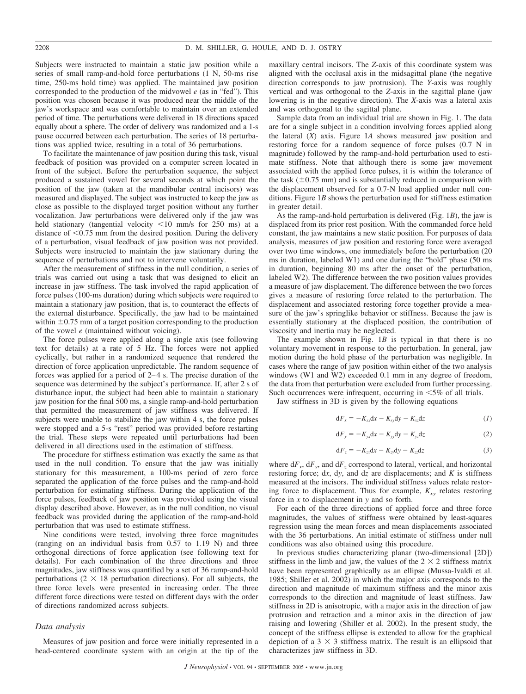Subjects were instructed to maintain a static jaw position while a series of small ramp-and-hold force perturbations (1 N, 50-ms rise time, 250-ms hold time) was applied. The maintained jaw position corresponded to the production of the midvowel *e* (as in "fed"). This position was chosen because it was produced near the middle of the jaw's workspace and was comfortable to maintain over an extended period of time. The perturbations were delivered in 18 directions spaced equally about a sphere. The order of delivery was randomized and a 1-s pause occurred between each perturbation. The series of 18 perturbations was applied twice, resulting in a total of 36 perturbations.

To facilitate the maintenance of jaw position during this task, visual feedback of position was provided on a computer screen located in front of the subject. Before the perturbation sequence, the subject produced a sustained vowel for several seconds at which point the position of the jaw (taken at the mandibular central incisors) was measured and displayed. The subject was instructed to keep the jaw as close as possible to the displayed target position without any further vocalization. Jaw perturbations were delivered only if the jaw was held stationary (tangential velocity  $\lt 10$  mm/s for 250 ms) at a distance of  $\leq 0.75$  mm from the desired position. During the delivery of a perturbation, visual feedback of jaw position was not provided. Subjects were instructed to maintain the jaw stationary during the sequence of perturbations and not to intervene voluntarily.

After the measurement of stiffness in the null condition, a series of trials was carried out using a task that was designed to elicit an increase in jaw stiffness. The task involved the rapid application of force pulses (100-ms duration) during which subjects were required to maintain a stationary jaw position, that is, to counteract the effects of the external disturbance. Specifically, the jaw had to be maintained within  $\pm 0.75$  mm of a target position corresponding to the production of the vowel *e* (maintained without voicing).

The force pulses were applied along a single axis (see following text for details) at a rate of 5 Hz. The forces were not applied cyclically, but rather in a randomized sequence that rendered the direction of force application unpredictable. The random sequence of forces was applied for a period of 2–4 s. The precise duration of the sequence was determined by the subject's performance. If, after 2 s of disturbance input, the subject had been able to maintain a stationary jaw position for the final 500 ms, a single ramp-and-hold perturbation that permitted the measurement of jaw stiffness was delivered. If subjects were unable to stabilize the jaw within 4 s, the force pulses were stopped and a 5-s "rest" period was provided before restarting the trial. These steps were repeated until perturbations had been delivered in all directions used in the estimation of stiffness.

The procedure for stiffness estimation was exactly the same as that used in the null condition. To ensure that the jaw was initially stationary for this measurement, a 100-ms period of zero force separated the application of the force pulses and the ramp-and-hold perturbation for estimating stiffness. During the application of the force pulses, feedback of jaw position was provided using the visual display described above. However, as in the null condition, no visual feedback was provided during the application of the ramp-and-hold perturbation that was used to estimate stiffness.

Nine conditions were tested, involving three force magnitudes (ranging on an individual basis from 0.57 to 1.19 N) and three orthogonal directions of force application (see following text for details). For each combination of the three directions and three magnitudes, jaw stiffness was quantified by a set of 36 ramp-and-hold perturbations ( $2 \times 18$  perturbation directions). For all subjects, the three force levels were presented in increasing order. The three different force directions were tested on different days with the order of directions randomized across subjects.

## *Data analysis*

Measures of jaw position and force were initially represented in a head-centered coordinate system with an origin at the tip of the maxillary central incisors. The *Z*-axis of this coordinate system was aligned with the occlusal axis in the midsagittal plane (the negative direction corresponds to jaw protrusion). The *Y*-axis was roughly vertical and was orthogonal to the *Z*-axis in the sagittal plane (jaw lowering is in the negative direction). The *X*-axis was a lateral axis and was orthogonal to the sagittal plane.

Sample data from an individual trial are shown in Fig. 1. The data are for a single subject in a condition involving forces applied along the lateral (*X*) axis. Figure 1*A* shows measured jaw position and restoring force for a random sequence of force pulses (0.7 N in magnitude) followed by the ramp-and-hold perturbation used to estimate stiffness. Note that although there is some jaw movement associated with the applied force pulses, it is within the tolerance of the task  $(\pm 0.75 \text{ mm})$  and is substantially reduced in comparison with the displacement observed for a 0.7-N load applied under null conditions. Figure 1*B* shows the perturbation used for stiffness estimation in greater detail.

As the ramp-and-hold perturbation is delivered (Fig. 1*B*), the jaw is displaced from its prior rest position. With the commanded force held constant, the jaw maintains a new static position. For purposes of data analysis, measures of jaw position and restoring force were averaged over two time windows, one immediately before the perturbation (20 ms in duration, labeled W1) and one during the "hold" phase (50 ms in duration, beginning 80 ms after the onset of the perturbation, labeled W2). The difference between the two position values provides a measure of jaw displacement. The difference between the two forces gives a measure of restoring force related to the perturbation. The displacement and associated restoring force together provide a measure of the jaw's springlike behavior or stiffness. Because the jaw is essentially stationary at the displaced position, the contribution of viscosity and inertia may be neglected.

The example shown in Fig. 1*B* is typical in that there is no voluntary movement in response to the perturbation. In general, jaw motion during the hold phase of the perturbation was negligible. In cases where the range of jaw position within either of the two analysis windows (W1 and W2) exceeded 0.1 mm in any degree of freedom, the data from that perturbation were excluded from further processing. Such occurrences were infrequent, occurring in  $\leq 5\%$  of all trials.

Jaw stiffness in 3D is given by the following equations

$$
dF_x = -K_{xx}dx - K_{xy}dy - K_{xz}dz \qquad (1)
$$

$$
dF_y = -K_{yx}dx - K_{yy}dy - K_{yz}dz \qquad (2)
$$

$$
dF_z = -K_{zx}dx - K_{zy}dy - K_{zz}dz \tag{3}
$$

where  $dF_x$ ,  $dF_y$ , and  $dF_z$  correspond to lateral, vertical, and horizontal restoring force; d*x*, d*y*, and d*z* are displacements; and *K* is stiffness measured at the incisors. The individual stiffness values relate restoring force to displacement. Thus for example,  $K_{xy}$  relates restoring force in *x* to displacement in *y* and so forth.

For each of the three directions of applied force and three force magnitudes, the values of stiffness were obtained by least-squares regression using the mean forces and mean displacements associated with the 36 perturbations. An initial estimate of stiffness under null conditions was also obtained using this procedure.

In previous studies characterizing planar (two-dimensional [2D]) stiffness in the limb and jaw, the values of the  $2 \times 2$  stiffness matrix have been represented graphically as an ellipse (Mussa-Ivaldi et al. 1985; Shiller et al. 2002) in which the major axis corresponds to the direction and magnitude of maximum stiffness and the minor axis corresponds to the direction and magnitude of least stiffness. Jaw stiffness in 2D is anisotropic, with a major axis in the direction of jaw protrusion and retraction and a minor axis in the direction of jaw raising and lowering (Shiller et al. 2002). In the present study, the concept of the stiffness ellipse is extended to allow for the graphical depiction of a  $3 \times 3$  stiffness matrix. The result is an ellipsoid that characterizes jaw stiffness in 3D.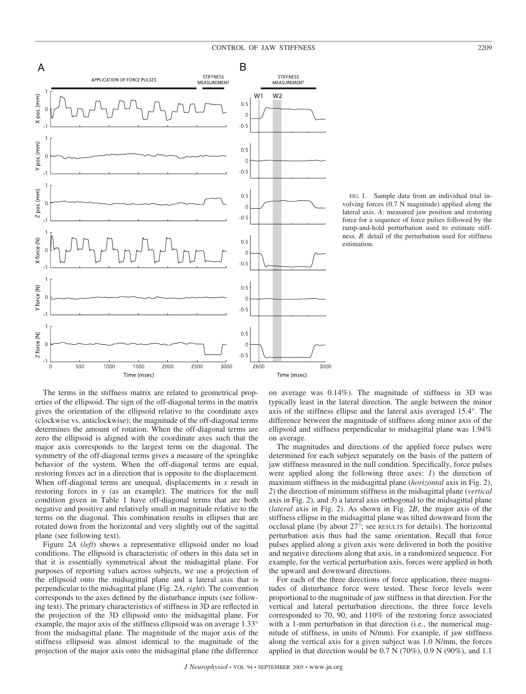#### CONTROL OF JAW STIFFNESS 2209



FIG. 1. Sample data from an individual trial involving forces (0.7 N magnitude) applied along the lateral axis. *A*: measured jaw position and restoring force for a sequence of force pulses followed by the ramp-and-hold perturbation used to estimate stiffness. *B*: detail of the perturbation used for stiffness estimation.

The terms in the stiffness matrix are related to geometrical properties of the ellipsoid. The sign of the off-diagonal terms in the matrix gives the orientation of the ellipsoid relative to the coordinate axes (clockwise vs. anticlockwise); the magnitude of the off-diagonal terms determines the amount of rotation. When the off-diagonal terms are zero the ellipsoid is aligned with the coordinate axes such that the major axis corresponds to the largest term on the diagonal. The symmetry of the off-diagonal terms gives a measure of the springlike behavior of the system. When the off-diagonal terms are equal, restoring forces act in a direction that is opposite to the displacement. When off-diagonal terms are unequal, displacements in *x* result in restoring forces in *y* (as an example). The matrices for the null condition given in Table 1 have off-diagonal terms that are both negative and positive and relatively small in magnitude relative to the terms on the diagonal. This combination results in ellipses that are rotated down from the horizontal and very slightly out of the sagittal plane (see following text).

Figure 2*A* (*left*) shows a representative ellipsoid under no load conditions. The ellipsoid is characteristic of others in this data set in that it is essentially symmetrical about the midsagittal plane. For purposes of reporting values across subjects, we use a projection of the ellipsoid onto the midsagittal plane and a lateral axis that is perpendicular to the midsagittal plane (Fig. 2*A*, *right*). The convention corresponds to the axes defined by the disturbance inputs (see following text). The primary characteristics of stiffness in 3D are reflected in the projection of the 3D ellipsoid onto the midsagittal plane. For example, the major axis of the stiffness ellipsoid was on average 1.33° from the midsagittal plane. The magnitude of the major axis of the stiffness ellipsoid was almost identical to the magnitude of the projection of the major axis onto the midsagittal plane (the difference on average was 0.14%). The magnitude of stiffness in 3D was typically least in the lateral direction. The angle between the minor axis of the stiffness ellipse and the lateral axis averaged 15.4°. The difference between the magnitude of stiffness along minor axis of the ellipsoid and stiffness perpendicular to midsagittal plane was 1.94% on average.

The magnitudes and directions of the applied force pulses were determined for each subject separately on the basis of the pattern of jaw stiffness measured in the null condition. Specifically, force pulses were applied along the following three axes: *1*) the direction of maximum stiffness in the midsagittal plane (*horizontal* axis in Fig. 2), *2*) the direction of minimum stiffness in the midsagittal plane (*vertical* axis in Fig. 2), and *3*) a lateral axis orthogonal to the midsagittal plane (*lateral* axis in Fig. 2). As shown in Fig. 2*B*, the major axis of the stiffness ellipse in the midsagittal plane was tilted downward from the occlusal plane (by about 27°; see RESULTS for details). The horizontal perturbation axis thus had the same orientation. Recall that force pulses applied along a given axis were delivered in both the positive and negative directions along that axis, in a randomized sequence. For example, for the vertical perturbation axis, forces were applied in both the upward and downward directions.

For each of the three directions of force application, three magnitudes of disturbance force were tested. These force levels were proportional to the magnitude of jaw stiffness in that direction. For the vertical and lateral perturbation directions, the three force levels corresponded to 70, 90, and 110% of the restoring force associated with a 1-mm perturbation in that direction (i.e., the numerical magnitude of stiffness, in units of N/mm). For example, if jaw stiffness along the vertical axis for a given subject was 1.0 N/mm, the forces applied in that direction would be  $0.7 \text{ N } (70\%)$ ,  $0.9 \text{ N } (90\%)$ , and  $1.1$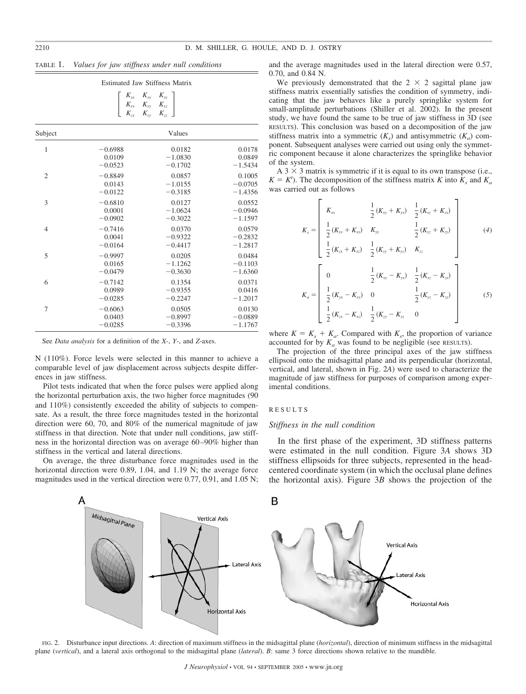TABLE 1. *Values for jaw stiffness under null conditions*

|  |                                                                                                                                | Estimated Jaw Stiffness Matrix |
|--|--------------------------------------------------------------------------------------------------------------------------------|--------------------------------|
|  | $\left[ \begin{array}{ccc} K_{xx} & K_{xy} & K_{xz} \ K_{yx} & K_{yy} & K_{yz} \ K_{zx} & K_{zy} & K_{zz} \end{array} \right]$ |                                |

| Subject        |           | Values    |           |
|----------------|-----------|-----------|-----------|
| 1              | $-0.6988$ | 0.0182    | 0.0178    |
|                | 0.0109    | $-1.0830$ | 0.0849    |
|                | $-0.0523$ | $-0.1702$ | $-1.5434$ |
| $\overline{c}$ | $-0.8849$ | 0.0857    | 0.1005    |
|                | 0.0143    | $-1.0155$ | $-0.0705$ |
|                | $-0.0122$ | $-0.3185$ | $-1.4356$ |
| 3              | $-0.6810$ | 0.0127    | 0.0552    |
|                | 0.0001    | $-1.0624$ | $-0.0946$ |
|                | $-0.0902$ | $-0.3022$ | $-1.1597$ |
| $\overline{4}$ | $-0.7416$ | 0.0370    | 0.0579    |
|                | 0.0041    | $-0.9322$ | $-0.2832$ |
|                | $-0.0164$ | $-0.4417$ | $-1.2817$ |
| 5              | $-0.9997$ | 0.0205    | 0.0484    |
|                | 0.0165    | $-1.1262$ | $-0.1103$ |
|                | $-0.0479$ | $-0.3630$ | $-1.6360$ |
| 6              | $-0.7142$ | 0.1354    | 0.0371    |
|                | 0.0989    | $-0.9355$ | 0.0416    |
|                | $-0.0285$ | $-0.2247$ | $-1.2017$ |
| 7              | $-0.6063$ | 0.0505    | 0.0130    |
|                | 0.0403    | $-0.8997$ | $-0.0889$ |
|                | $-0.0285$ | $-0.3396$ | $-1.1767$ |

See *Data analysis* for a definition of the *X*-, *Y*-, and *Z*-axes.

N (110%). Force levels were selected in this manner to achieve a comparable level of jaw displacement across subjects despite differences in jaw stiffness.

Pilot tests indicated that when the force pulses were applied along the horizontal perturbation axis, the two higher force magnitudes (90 and 110%) consistently exceeded the ability of subjects to compensate. As a result, the three force magnitudes tested in the horizontal direction were 60, 70, and 80% of the numerical magnitude of jaw stiffness in that direction. Note that under null conditions, jaw stiffness in the horizontal direction was on average 60 –90% higher than stiffness in the vertical and lateral directions.

On average, the three disturbance force magnitudes used in the horizontal direction were 0.89, 1.04, and 1.19 N; the average force magnitudes used in the vertical direction were 0.77, 0.91, and 1.05 N; and the average magnitudes used in the lateral direction were 0.57, 0.70, and 0.84 N.

We previously demonstrated that the  $2 \times 2$  sagittal plane jaw stiffness matrix essentially satisfies the condition of symmetry, indicating that the jaw behaves like a purely springlike system for small-amplitude perturbations (Shiller et al. 2002). In the present study, we have found the same to be true of jaw stiffness in 3D (see RESULTS). This conclusion was based on a decomposition of the jaw stiffness matrix into a symmetric  $(K<sub>s</sub>)$  and antisymmetric  $(K<sub>a</sub>)$  component. Subsequent analyses were carried out using only the symmetric component because it alone characterizes the springlike behavior of the system.

 $A$  3  $\times$  3 matrix is symmetric if it is equal to its own transpose (i.e.,  $K = K<sup>t</sup>$ ). The decomposition of the stiffness matrix *K* into  $K<sub>s</sub>$  and  $K<sub>a</sub>$ was carried out as follows

$$
K_{s} = \begin{bmatrix} K_{xx} & \frac{1}{2}(K_{xy} + K_{yx}) & \frac{1}{2}(K_{xz} + K_{zx}) \\ \frac{1}{2}(K_{yx} + K_{xy}) & K_{yy} & \frac{1}{2}(K_{yz} + K_{zy}) \\ \frac{1}{2}(K_{zx} + K_{xz}) & \frac{1}{2}(K_{zy} + K_{yz}) & K_{zz} \end{bmatrix}
$$
(4)

$$
K_a = \begin{bmatrix} 0 & \frac{1}{2}(K_{xy} - K_{yx}) & \frac{1}{2}(K_{xz} - K_{zx}) \\ \frac{1}{2}(K_{yx} - K_{xy}) & 0 & \frac{1}{2}(K_{yz} - K_{zy}) \\ \frac{1}{2}(K_{zx} - K_{xz}) & \frac{1}{2}(K_{zy} - K_{yz}) & 0 \end{bmatrix}
$$
(5)

where  $K = K_s + K_a$ . Compared with  $K_s$ , the proportion of variance accounted for by  $K_a$  was found to be negligible (see RESULTS).

The projection of the three principal axes of the jaw stiffness ellipsoid onto the midsagittal plane and its perpendicular (horizontal, vertical, and lateral, shown in Fig. 2*A*) were used to characterize the magnitude of jaw stiffness for purposes of comparison among experimental conditions.

#### RESULTS

## *Stiffness in the null condition*

In the first phase of the experiment, 3D stiffness patterns were estimated in the null condition. Figure 3*A* shows 3D stiffness ellipsoids for three subjects, represented in the headcentered coordinate system (in which the occlusal plane defines the horizontal axis). Figure 3*B* shows the projection of the



FIG. 2. Disturbance input directions. *A*: direction of maximum stiffness in the midsagittal plane (*horizontal*), direction of minimum stiffness in the midsagittal plane (*vertical*), and a lateral axis orthogonal to the midsagittal plane (*lateral*). *B*: same 3 force directions shown relative to the mandible.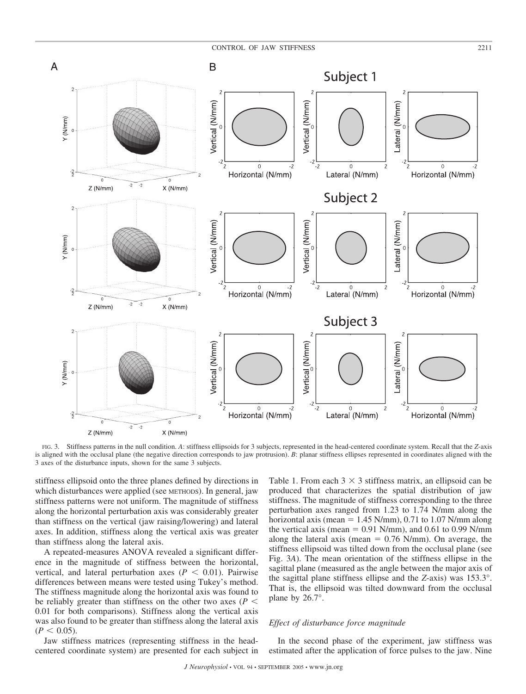

FIG. 3. Stiffness patterns in the null condition. *A*: stiffness ellipsoids for 3 subjects, represented in the head-centered coordinate system. Recall that the *Z*-axis is aligned with the occlusal plane (the negative direction corresponds to jaw protrusion). *B*: planar stiffness ellipses represented in coordinates aligned with the 3 axes of the disturbance inputs, shown for the same 3 subjects.

stiffness ellipsoid onto the three planes defined by directions in which disturbances were applied (see METHODS). In general, jaw stiffness patterns were not uniform. The magnitude of stiffness along the horizontal perturbation axis was considerably greater than stiffness on the vertical (jaw raising/lowering) and lateral axes. In addition, stiffness along the vertical axis was greater than stiffness along the lateral axis.

A repeated-measures ANOVA revealed a significant difference in the magnitude of stiffness between the horizontal, vertical, and lateral perturbation axes ( $P < 0.01$ ). Pairwise differences between means were tested using Tukey's method. The stiffness magnitude along the horizontal axis was found to be reliably greater than stiffness on the other two axes ( $P \leq$ 0.01 for both comparisons). Stiffness along the vertical axis was also found to be greater than stiffness along the lateral axis  $(P < 0.05)$ .

Jaw stiffness matrices (representing stiffness in the headcentered coordinate system) are presented for each subject in Table 1. From each  $3 \times 3$  stiffness matrix, an ellipsoid can be produced that characterizes the spatial distribution of jaw stiffness. The magnitude of stiffness corresponding to the three perturbation axes ranged from 1.23 to 1.74 N/mm along the horizontal axis (mean  $= 1.45$  N/mm), 0.71 to 1.07 N/mm along the vertical axis (mean  $= 0.91$  N/mm), and 0.61 to 0.99 N/mm along the lateral axis (mean  $= 0.76$  N/mm). On average, the stiffness ellipsoid was tilted down from the occlusal plane (see Fig. 3*A*). The mean orientation of the stiffness ellipse in the sagittal plane (measured as the angle between the major axis of the sagittal plane stiffness ellipse and the *Z*-axis) was 153.3°. That is, the ellipsoid was tilted downward from the occlusal plane by 26.7°.

## *Effect of disturbance force magnitude*

In the second phase of the experiment, jaw stiffness was estimated after the application of force pulses to the jaw. Nine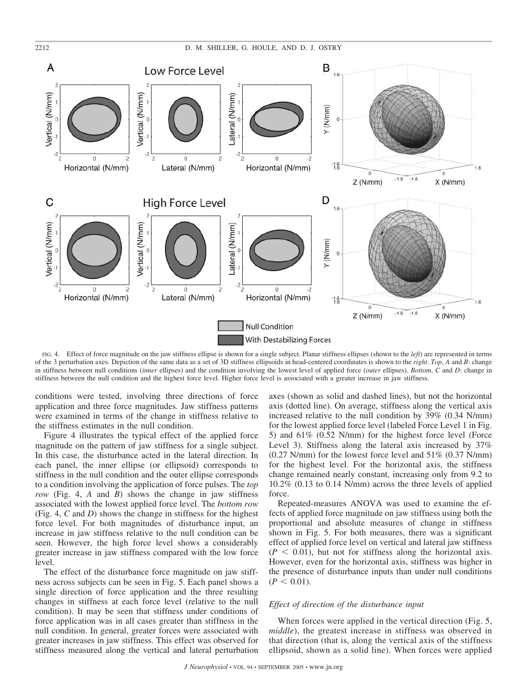

FIG. 4. Effect of force magnitude on the jaw stiffness ellipse is shown for a single subject. Planar stiffness ellipses (shown to the *left*) are represented in terms of the 3 perturbation axes. Depiction of the same data as a set of 3D stiffness ellipsoids in head-centered coordinates is shown to the *right*. *Top*, *A* and *B*: change in stiffness between null conditions (*inner* ellipses) and the condition involving the lowest level of applied force (*outer* ellipses). *Bottom*, *C* and *D*: change in stiffness between the null condition and the highest force level. Higher force level is associated with a greater increase in jaw stiffness.

conditions were tested, involving three directions of force application and three force magnitudes. Jaw stiffness patterns were examined in terms of the change in stiffness relative to the stiffness estimates in the null condition.

Figure 4 illustrates the typical effect of the applied force magnitude on the pattern of jaw stiffness for a single subject. In this case, the disturbance acted in the lateral direction. In each panel, the inner ellipse (or ellipsoid) corresponds to stiffness in the null condition and the outer ellipse corresponds to a condition involving the application of force pulses. The *top row* (Fig. 4, *A* and *B*) shows the change in jaw stiffness associated with the lowest applied force level. The *bottom row* (Fig. 4, *C* and *D*) shows the change in stiffness for the highest force level. For both magnitudes of disturbance input, an increase in jaw stiffness relative to the null condition can be seen. However, the high force level shows a considerably greater increase in jaw stiffness compared with the low force level.

The effect of the disturbance force magnitude on jaw stiffness across subjects can be seen in Fig. 5. Each panel shows a single direction of force application and the three resulting changes in stiffness at each force level (relative to the null condition). It may be seen that stiffness under conditions of force application was in all cases greater than stiffness in the null condition. In general, greater forces were associated with greater increases in jaw stiffness. This effect was observed for stiffness measured along the vertical and lateral perturbation

axes (shown as solid and dashed lines), but not the horizontal axis (dotted line). On average, stiffness along the vertical axis increased relative to the null condition by 39% (0.34 N/mm) for the lowest applied force level (labeled Force Level 1 in Fig. 5) and 61% (0.52 N/mm) for the highest force level (Force Level 3). Stiffness along the lateral axis increased by 37% (0.27 N/mm) for the lowest force level and 51% (0.37 N/mm) for the highest level. For the horizontal axis, the stiffness change remained nearly constant, increasing only from 9.2 to 10.2% (0.13 to 0.14 N/mm) across the three levels of applied force.

Repeated-measures ANOVA was used to examine the effects of applied force magnitude on jaw stiffness using both the proportional and absolute measures of change in stiffness shown in Fig. 5. For both measures, there was a significant effect of applied force level on vertical and lateral jaw stiffness  $(P < 0.01)$ , but not for stiffness along the horizontal axis. However, even for the horizontal axis, stiffness was higher in the presence of disturbance inputs than under null conditions  $(P < 0.01)$ .

## *Effect of direction of the disturbance input*

When forces were applied in the vertical direction (Fig. 5, *middle*), the greatest increase in stiffness was observed in that direction (that is, along the vertical axis of the stiffness ellipsoid, shown as a solid line). When forces were applied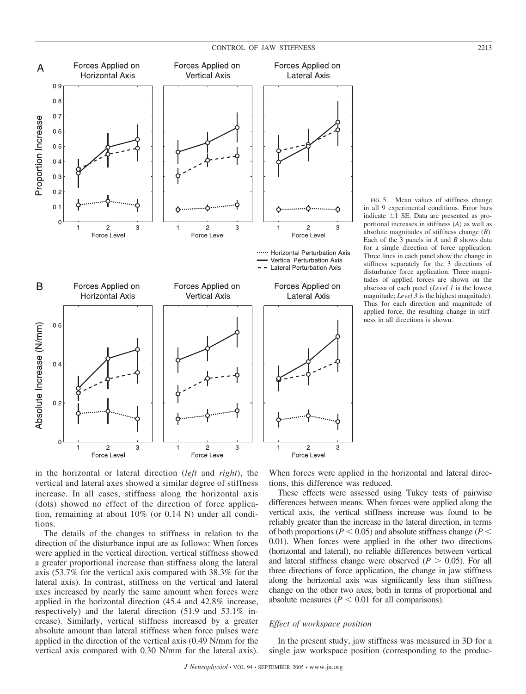

FIG. 5. Mean values of stiffness change in all 9 experimental conditions. Error bars indicate  $\pm 1$  SE. Data are presented as proportional increases in stiffness (*A*) as well as absolute magnitudes of stiffness change (*B*). Each of the 3 panels in *A* and *B* shows data for a single direction of force application. Three lines in each panel show the change in stiffness separately for the 3 directions of disturbance force application. Three magnitudes of applied forces are shown on the abscissa of each panel (*Level 1* is the lowest magnitude; *Level 3* is the highest magnitude). Thus for each direction and magnitude of applied force, the resulting change in stiffness in all directions is shown.

in the horizontal or lateral direction (*left* and *right*), the vertical and lateral axes showed a similar degree of stiffness increase. In all cases, stiffness along the horizontal axis (dots) showed no effect of the direction of force application, remaining at about 10% (or 0.14 N) under all conditions.

The details of the changes to stiffness in relation to the direction of the disturbance input are as follows: When forces were applied in the vertical direction, vertical stiffness showed a greater proportional increase than stiffness along the lateral axis (53.7% for the vertical axis compared with 38.3% for the lateral axis). In contrast, stiffness on the vertical and lateral axes increased by nearly the same amount when forces were applied in the horizontal direction (45.4 and 42.8% increase, respectively) and the lateral direction (51.9 and 53.1% increase). Similarly, vertical stiffness increased by a greater absolute amount than lateral stiffness when force pulses were applied in the direction of the vertical axis (0.49 N/mm for the vertical axis compared with 0.30 N/mm for the lateral axis).

When forces were applied in the horizontal and lateral directions, this difference was reduced.

These effects were assessed using Tukey tests of pairwise differences between means. When forces were applied along the vertical axis, the vertical stiffness increase was found to be reliably greater than the increase in the lateral direction, in terms of both proportions ( $P < 0.05$ ) and absolute stiffness change ( $P <$ 0.01). When forces were applied in the other two directions (horizontal and lateral), no reliable differences between vertical and lateral stiffness change were observed  $(P > 0.05)$ . For all three directions of force application, the change in jaw stiffness along the horizontal axis was significantly less than stiffness change on the other two axes, both in terms of proportional and absolute measures  $(P < 0.01$  for all comparisons).

## *Effect of workspace position*

In the present study, jaw stiffness was measured in 3D for a single jaw workspace position (corresponding to the produc-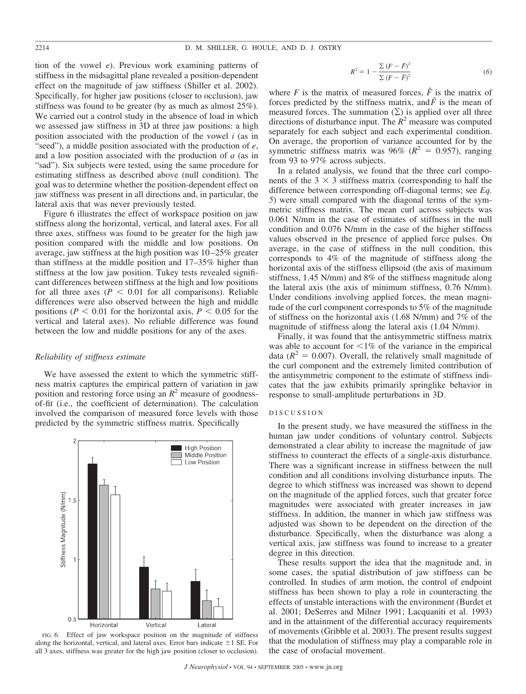tion of the vowel *e*). Previous work examining patterns of stiffness in the midsagittal plane revealed a position-dependent effect on the magnitude of jaw stiffness (Shiller et al. 2002). Specifically, for higher jaw positions (closer to occlusion), jaw stiffness was found to be greater (by as much as almost 25%). We carried out a control study in the absence of load in which we assessed jaw stiffness in 3D at three jaw positions: a high position associated with the production of the vowel *i* (as in "seed"), a middle position associated with the production of *e*, and a low position associated with the production of *a* (as in "sad"). Six subjects were tested, using the same procedure for estimating stiffness as described above (null condition). The goal was to determine whether the position-dependent effect on jaw stiffness was present in all directions and, in particular, the lateral axis that was never previously tested.

Figure 6 illustrates the effect of workspace position on jaw stiffness along the horizontal, vertical, and lateral axes. For all three axes, stiffness was found to be greater for the high jaw position compared with the middle and low positions. On average, jaw stiffness at the high position was 10 –25% greater than stiffness at the middle position and 17–35% higher than stiffness at the low jaw position. Tukey tests revealed significant differences between stiffness at the high and low positions for all three axes ( $P < 0.01$  for all comparisons). Reliable differences were also observed between the high and middle positions ( $P < 0.01$  for the horizontal axis,  $P < 0.05$  for the vertical and lateral axes). No reliable difference was found between the low and middle positions for any of the axes.

## *Reliability of stiffness estimate*

We have assessed the extent to which the symmetric stiffness matrix captures the empirical pattern of variation in jaw position and restoring force using an  $R^2$  measure of goodnessof-fit (i.e., the coefficient of determination). The calculation involved the comparison of measured force levels with those predicted by the symmetric stiffness matrix. Specifically



FIG. 6. Effect of jaw workspace position on the magnitude of stiffness along the horizontal, vertical, and lateral axes. Error bars indicate  $\pm 1$  SE. For all 3 axes, stiffness was greater for the high jaw position (closer to occlusion).

$$
R^{2} = 1 - \frac{\sum (F - \hat{F})^{2}}{\sum (F - \bar{F})^{2}}
$$
 (6)

where  $F$  is the matrix of measured forces,  $\hat{F}$  is the matrix of forces predicted by the stiffness matrix, and  $\bar{F}$  is the mean of measured forces. The summation  $(\Sigma)$  is applied over all three directions of disturbance input. The  $R^2$  measure was computed separately for each subject and each experimental condition. On average, the proportion of variance accounted for by the symmetric stiffness matrix was 96% ( $R^2 = 0.957$ ), ranging from 93 to 97% across subjects.

In a related analysis, we found that the three curl components of the  $3 \times 3$  stiffness matrix (corresponding to half the difference between corresponding off-diagonal terms; see *Eq. 5*) were small compared with the diagonal terms of the symmetric stiffness matrix. The mean curl across subjects was 0.061 N/mm in the case of estimates of stiffness in the null condition and 0.076 N/mm in the case of the higher stiffness values observed in the presence of applied force pulses. On average, in the case of stiffness in the null condition, this corresponds to 4% of the magnitude of stiffness along the horizontal axis of the stiffness ellipsoid (the axis of maximum stiffness, 1.45 N/mm) and 8% of the stiffness magnitude along the lateral axis (the axis of minimum stiffness, 0.76 N/mm). Under conditions involving applied forces, the mean magnitude of the curl component corresponds to 5% of the magnitude of stiffness on the horizontal axis (1.68 N/mm) and 7% of the magnitude of stiffness along the lateral axis (1.04 N/mm).

Finally, it was found that the antisymmetric stiffness matrix was able to account for  $\leq 1\%$  of the variance in the empirical data  $(R^2 = 0.007)$ . Overall, the relatively small magnitude of the curl component and the extremely limited contribution of the antisymmetric component to the estimate of stiffness indicates that the jaw exhibits primarily springlike behavior in response to small-amplitude perturbations in 3D.

### DISCUSSION

In the present study, we have measured the stiffness in the human jaw under conditions of voluntary control. Subjects demonstrated a clear ability to increase the magnitude of jaw stiffness to counteract the effects of a single-axis disturbance. There was a significant increase in stiffness between the null condition and all conditions involving disturbance inputs. The degree to which stiffness was increased was shown to depend on the magnitude of the applied forces, such that greater force magnitudes were associated with greater increases in jaw stiffness. In addition, the manner in which jaw stiffness was adjusted was shown to be dependent on the direction of the disturbance. Specifically, when the disturbance was along a vertical axis, jaw stiffness was found to increase to a greater degree in this direction.

These results support the idea that the magnitude and, in some cases, the spatial distribution of jaw stiffness can be controlled. In studies of arm motion, the control of endpoint stiffness has been shown to play a role in counteracting the effects of unstable interactions with the environment (Burdet et al. 2001; DeSerres and Milner 1991; Lacquaniti et al. 1993) and in the attainment of the differential accuracy requirements of movements (Gribble et al. 2003). The present results suggest that the modulation of stiffness may play a comparable role in the case of orofacial movement.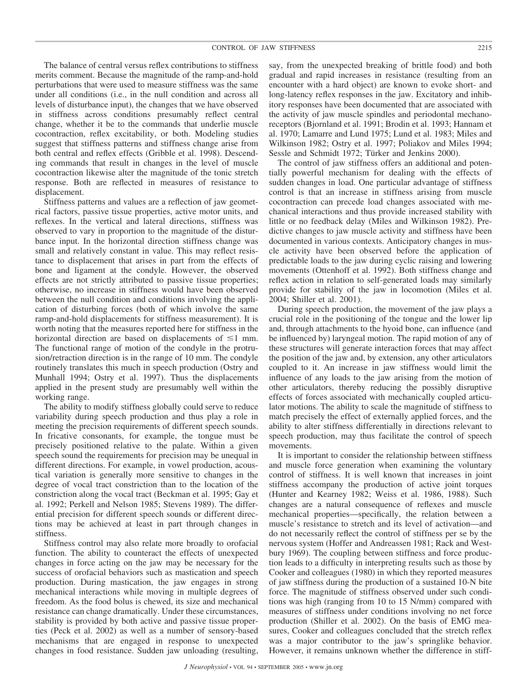The balance of central versus reflex contributions to stiffness merits comment. Because the magnitude of the ramp-and-hold perturbations that were used to measure stiffness was the same under all conditions (i.e., in the null condition and across all levels of disturbance input), the changes that we have observed in stiffness across conditions presumably reflect central change, whether it be to the commands that underlie muscle cocontraction, reflex excitability, or both. Modeling studies suggest that stiffness patterns and stiffness change arise from both central and reflex effects (Gribble et al. 1998). Descending commands that result in changes in the level of muscle cocontraction likewise alter the magnitude of the tonic stretch response. Both are reflected in measures of resistance to displacement.

Stiffness patterns and values are a reflection of jaw geometrical factors, passive tissue properties, active motor units, and reflexes. In the vertical and lateral directions, stiffness was observed to vary in proportion to the magnitude of the disturbance input. In the horizontal direction stiffness change was small and relatively constant in value. This may reflect resistance to displacement that arises in part from the effects of bone and ligament at the condyle. However, the observed effects are not strictly attributed to passive tissue properties; otherwise, no increase in stiffness would have been observed between the null condition and conditions involving the application of disturbing forces (both of which involve the same ramp-and-hold displacements for stiffness measurement). It is worth noting that the measures reported here for stiffness in the horizontal direction are based on displacements of  $\leq 1$  mm. The functional range of motion of the condyle in the protrusion/retraction direction is in the range of 10 mm. The condyle routinely translates this much in speech production (Ostry and Munhall 1994; Ostry et al. 1997). Thus the displacements applied in the present study are presumably well within the working range.

The ability to modify stiffness globally could serve to reduce variability during speech production and thus play a role in meeting the precision requirements of different speech sounds. In fricative consonants, for example, the tongue must be precisely positioned relative to the palate. Within a given speech sound the requirements for precision may be unequal in different directions. For example, in vowel production, acoustical variation is generally more sensitive to changes in the degree of vocal tract constriction than to the location of the constriction along the vocal tract (Beckman et al. 1995; Gay et al. 1992; Perkell and Nelson 1985; Stevens 1989). The differential precision for different speech sounds or different directions may be achieved at least in part through changes in stiffness.

Stiffness control may also relate more broadly to orofacial function. The ability to counteract the effects of unexpected changes in force acting on the jaw may be necessary for the success of orofacial behaviors such as mastication and speech production. During mastication, the jaw engages in strong mechanical interactions while moving in multiple degrees of freedom. As the food bolus is chewed, its size and mechanical resistance can change dramatically. Under these circumstances, stability is provided by both active and passive tissue properties (Peck et al. 2002) as well as a number of sensory-based mechanisms that are engaged in response to unexpected changes in food resistance. Sudden jaw unloading (resulting,

say, from the unexpected breaking of brittle food) and both gradual and rapid increases in resistance (resulting from an encounter with a hard object) are known to evoke short- and long-latency reflex responses in the jaw. Excitatory and inhibitory responses have been documented that are associated with the activity of jaw muscle spindles and periodontal mechanoreceptors (Bjornland et al. 1991; Brodin et al. 1993; Hannam et al. 1970; Lamarre and Lund 1975; Lund et al. 1983; Miles and Wilkinson 1982; Ostry et al. 1997; Poliakov and Miles 1994; Sessle and Schmidt 1972; Türker and Jenkins 2000).

The control of jaw stiffness offers an additional and potentially powerful mechanism for dealing with the effects of sudden changes in load. One particular advantage of stiffness control is that an increase in stiffness arising from muscle cocontraction can precede load changes associated with mechanical interactions and thus provide increased stability with little or no feedback delay (Miles and Wilkinson 1982). Predictive changes to jaw muscle activity and stiffness have been documented in various contexts. Anticipatory changes in muscle activity have been observed before the application of predictable loads to the jaw during cyclic raising and lowering movements (Ottenhoff et al. 1992). Both stiffness change and reflex action in relation to self-generated loads may similarly provide for stability of the jaw in locomotion (Miles et al. 2004; Shiller et al. 2001).

During speech production, the movement of the jaw plays a crucial role in the positioning of the tongue and the lower lip and, through attachments to the hyoid bone, can influence (and be influenced by) laryngeal motion. The rapid motion of any of these structures will generate interaction forces that may affect the position of the jaw and, by extension, any other articulators coupled to it. An increase in jaw stiffness would limit the influence of any loads to the jaw arising from the motion of other articulators, thereby reducing the possibly disruptive effects of forces associated with mechanically coupled articulator motions. The ability to scale the magnitude of stiffness to match precisely the effect of externally applied forces, and the ability to alter stiffness differentially in directions relevant to speech production, may thus facilitate the control of speech movements.

It is important to consider the relationship between stiffness and muscle force generation when examining the voluntary control of stiffness. It is well known that increases in joint stiffness accompany the production of active joint torques (Hunter and Kearney 1982; Weiss et al. 1986, 1988). Such changes are a natural consequence of reflexes and muscle mechanical properties—specifically, the relation between a muscle's resistance to stretch and its level of activation—and do not necessarily reflect the control of stiffness per se by the nervous system (Hoffer and Andreassen 1981; Rack and Westbury 1969). The coupling between stiffness and force production leads to a difficulty in interpreting results such as those by Cooker and colleagues (1980) in which they reported measures of jaw stiffness during the production of a sustained 10-N bite force. The magnitude of stiffness observed under such conditions was high (ranging from 10 to 15 N/mm) compared with measures of stiffness under conditions involving no net force production (Shiller et al. 2002). On the basis of EMG measures, Cooker and colleagues concluded that the stretch reflex was a major contributor to the jaw's springlike behavior. However, it remains unknown whether the difference in stiff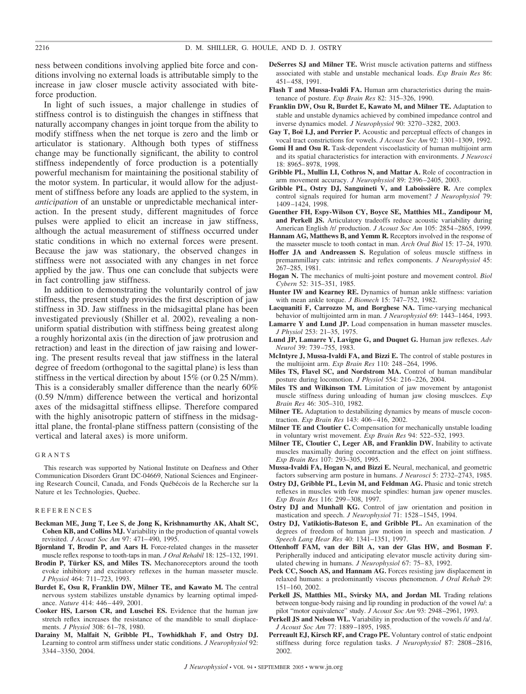ness between conditions involving applied bite force and conditions involving no external loads is attributable simply to the increase in jaw closer muscle activity associated with biteforce production.

In light of such issues, a major challenge in studies of stiffness control is to distinguish the changes in stiffness that naturally accompany changes in joint torque from the ability to modify stiffness when the net torque is zero and the limb or articulator is stationary. Although both types of stiffness change may be functionally significant, the ability to control stiffness independently of force production is a potentially powerful mechanism for maintaining the positional stability of the motor system. In particular, it would allow for the adjustment of stiffness before any loads are applied to the system, in *anticipation* of an unstable or unpredictable mechanical interaction. In the present study, different magnitudes of force pulses were applied to elicit an increase in jaw stiffness, although the actual measurement of stiffness occurred under static conditions in which no external forces were present. Because the jaw was stationary, the observed changes in stiffness were not associated with any changes in net force applied by the jaw. Thus one can conclude that subjects were in fact controlling jaw stiffness.

In addition to demonstrating the voluntarily control of jaw stiffness, the present study provides the first description of jaw stiffness in 3D. Jaw stiffness in the midsagittal plane has been investigated previously (Shiller et al. 2002), revealing a nonuniform spatial distribution with stiffness being greatest along a roughly horizontal axis (in the direction of jaw protrusion and retraction) and least in the direction of jaw raising and lowering. The present results reveal that jaw stiffness in the lateral degree of freedom (orthogonal to the sagittal plane) is less than stiffness in the vertical direction by about 15% (or 0.25 N/mm). This is a considerably smaller difference than the nearly 60% (0.59 N/mm) difference between the vertical and horizontal axes of the midsagittal stiffness ellipse. Therefore compared with the highly anisotropic pattern of stiffness in the midsagittal plane, the frontal-plane stiffness pattern (consisting of the vertical and lateral axes) is more uniform.

#### GRANTS

This research was supported by National Institute on Deafness and Other Communication Disorders Grant DC-04669, National Sciences and Engineering Research Council, Canada, and Fonds Québécois de la Recherche sur la Nature et les Technologies, Quebec.

#### REFERENCES

- **Beckman ME, Jung T, Lee S, de Jong K, Krishnamurthy AK, Ahalt SC, Cohen KB, and Collins MJ.** Variability in the production of quantal vowels revisited. *J Acoust Soc Am* 97: 471– 490, 1995.
- **Bjornland T, Brodin P, and Aars H.** Force-related changes in the masseter muscle reflex response to tooth-taps in man. *J Oral Rehabil* 18: 125–132, 1991.
- Brodin P, Türker KS, and Miles TS. Mechanoreceptors around the tooth evoke inhibitory and excitatory reflexes in the human masseter muscle. *J Physiol* 464: 711–723, 1993.
- **Burdet E, Osu R, Franklin DW, Milner TE, and Kawato M.** The central nervous system stabilizes unstable dynamics by learning optimal impedance. *Nature* 414: 446 – 449, 2001.
- **Cooker HS, Larson CR, and Luschei ES.** Evidence that the human jaw stretch reflex increases the resistance of the mandible to small displacements. *J Physiol* 308: 61–78, 1980.
- **Darainy M, Malfait N, Gribble PL, Towhidkhah F, and Ostry DJ.** Learning to control arm stiffness under static conditions. *J Neurophysiol* 92: 3344 –3350, 2004.
- **DeSerres SJ and Milner TE.** Wrist muscle activation patterns and stiffness associated with stable and unstable mechanical loads. *Exp Brain Res* 86: 451– 458, 1991.
- **Flash T and Mussa-Ivaldi FA.** Human arm characteristics during the maintenance of posture. *Exp Brain Res* 82: 315–326, 1990.
- **Franklin DW, Osu R, Burdet E, Kawato M, and Milner TE.** Adaptation to stable and unstable dynamics achieved by combined impedance control and inverse dynamics model. *J Neurophysiol* 90: 3270 –3282, 2003.
- Gay T, Boë LJ, and Perrier P. Acoustic and perceptual effects of changes in vocal tract constrictions for vowels. *J Acoust Soc Am* 92: 1301–1309, 1992.
- **Gomi H and Osu R.** Task-dependent viscoelasticity of human multijoint arm and its spatial characteristics for interaction with environments. *J Neurosci* 18: 8965– 8978, 1998.
- **Gribble PL, Mullin LI, Cothros N, and Mattar A.** Role of cocontraction in arm movement accuracy. *J Neurophysiol* 89: 2396 –2405, 2003.
- Gribble PL, Ostry DJ, Sanguineti V, and Laboissière R. Are complex control signals required for human arm movement? *J Neurophysiol* 79: 1409 –1424, 1998.
- **Guenther FH, Espy-Wilson CY, Boyce SE, Matthies ML, Zandipour M, and Perkell JS.** Articulatory tradeoffs reduce acoustic variability during American English /r/ production. *J Acoust Soc Am* 105: 2854 –2865, 1999.
- **Hannam AG, Matthews B, and Yemm R.** Receptors involved in the response of the masseter muscle to tooth contact in man. *Arch Oral Biol* 15: 17–24, 1970.
- **Hoffer JA and Andreassen S.** Regulation of soleus muscle stiffness in premammillary cats: intrinsic and reflex components. *J Neurophysiol* 45: 267–285, 1981.
- **Hogan N.** The mechanics of multi-joint posture and movement control. *Biol Cybern* 52: 315–351, 1985.
- **Hunter IW and Kearney RE.** Dynamics of human ankle stiffness: variation with mean ankle torque. *J Biomech* 15: 747–752, 1982.
- **Lacquaniti F, Carrozzo M, and Borghese NA.** Time-varying mechanical behavior of multijointed arm in man. *J Neurophysiol* 69: 1443–1464, 1993.
- **Lamarre Y and Lund JP.** Load compensation in human masseter muscles. *J Physiol* 253: 21–35, 1975.
- **Lund JP, Lamarre Y, Lavigne G, and Duquet G.** Human jaw reflexes. *Adv Neurol* 39: 739 –755, 1983.
- **McIntyre J, Mussa-Ivaldi FA, and Bizzi E.** The control of stable postures in the multijoint arm. *Exp Brain Res* 110: 248 –264, 1996.
- **Miles TS, Flavel SC, and Nordstrom MA.** Control of human mandibular posture during locomotion. *J Physiol* 554: 216 –226, 2004.
- **Miles TS and Wilkinson TM.** Limitation of jaw movement by antagonist muscle stiffness during unloading of human jaw closing musclces. *Exp Brain Res* 46: 305–310, 1982.
- **Milner TE.** Adaptation to destabilizing dynamics by means of muscle cocontraction. *Exp Brain Res* 143: 406 – 416, 2002.
- **Milner TE and Cloutier C.** Compensation for mechanically unstable loading in voluntary wrist movement. *Exp Brain Res* 94: 522–532, 1993.
- **Milner TE, Cloutier C, Leger AB, and Franklin DW.** Inability to activate muscles maximally during cocontraction and the effect on joint stiffness. *Exp Brain Res* 107: 293–305, 1995.
- **Mussa-Ivaldi FA, Hogan N, and Bizzi E.** Neural, mechanical, and geometric factors subserving arm posture in humans. *J Neurosci* 5: 2732–2743, 1985.
- **Ostry DJ, Gribble PL, Levin M, and Feldman AG.** Phasic and tonic stretch reflexes in muscles with few muscle spindles: human jaw opener muscles. *Exp Brain Res* 116: 299 –308, 1997.
- **Ostry DJ and Munhall KG.** Control of jaw orientation and position in mastication and speech. *J Neurophysiol* 71: 1528 –1545, 1994.
- **Ostry DJ, Vatikiotis-Bateson E, and Gribble PL.** An examination of the degrees of freedom of human jaw motion in speech and mastication. *J Speech Lang Hear Res* 40: 1341–1351, 1997.
- **Ottenhoff FAM, van der Bilt A, van der Glas HW, and Bosman F.** Peripherally induced and anticipating elevator muscle activity during simulated chewing in humans. *J Neurophysiol* 67: 75– 83, 1992.
- Peck CC, Sooch AS, and Hannam AG. Forces resisting jaw displacement in relaxed humans: a predominantly viscous phenomenon. *J Oral Rehab* 29: 151–160, 2002.
- **Perkell JS, Matthies ML, Svirsky MA, and Jordan MI.** Trading relations between tongue-body raising and lip rounding in production of the vowel /u/: a pilot "motor equivalence" study. *J Acoust Soc Am* 93: 2948 –2961, 1993.
- Perkell JS and Nelson WL. Variability in production of the vowels /i/ and /a/. *J Acoust Soc Am* 77: 1889 –1895, 1985.
- **Perreault EJ, Kirsch RF, and Crago PE.** Voluntary control of static endpoint stiffness during force regulation tasks. *J Neurophysiol* 87: 2808 –2816, 2002.